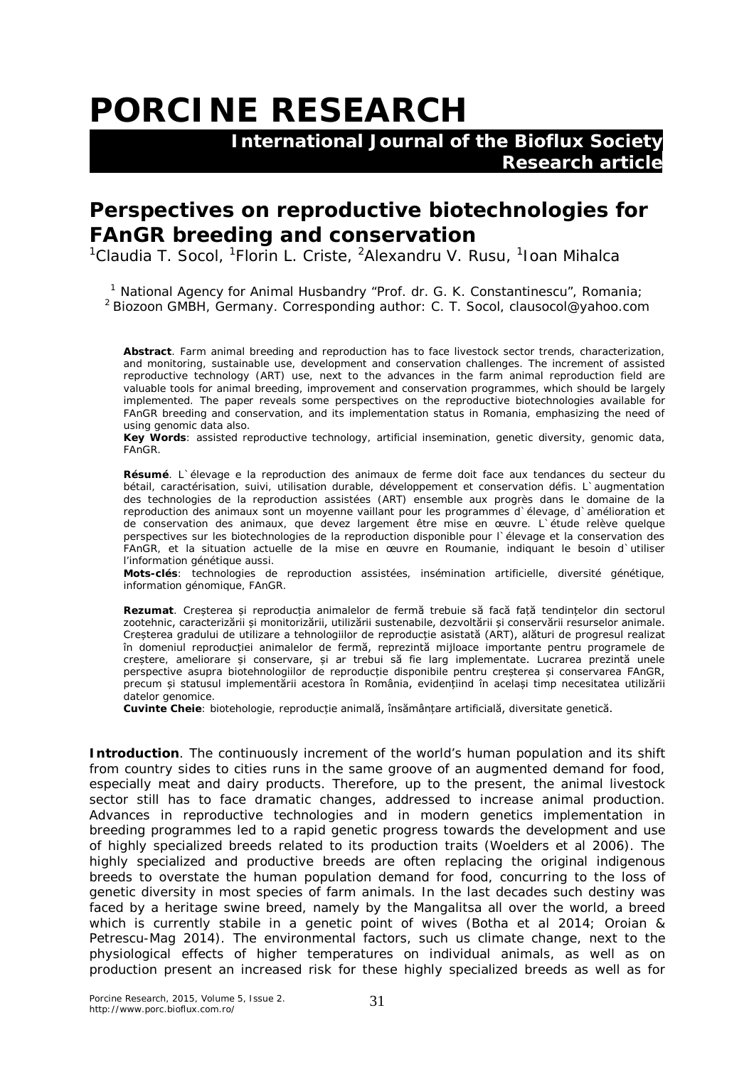## **PORCINE RESEARCH**

 **International Journal of the Bioflux Society Research article**

## **Perspectives on reproductive biotechnologies for FAnGR breeding and conservation**

<sup>1</sup>Claudia T. Socol, <sup>1</sup>Florin L. Criste, <sup>2</sup>Alexandru V. Rusu, <sup>1</sup>Ioan Mihalca

<sup>1</sup> National Agency for Animal Husbandry "Prof. dr. G. K. Constantinescu", Romania; <sup>2</sup> Biozoon GMBH, Germany. Corresponding author: C. T. Socol, clausocol@yahoo.com

**Abstract**. Farm animal breeding and reproduction has to face livestock sector trends, characterization, and monitoring, sustainable use, development and conservation challenges. The increment of assisted reproductive technology (ART) use, next to the advances in the farm animal reproduction field are valuable tools for animal breeding, improvement and conservation programmes, which should be largely implemented. The paper reveals some perspectives on the reproductive biotechnologies available for FAnGR breeding and conservation, and its implementation status in Romania, emphasizing the need of using genomic data also.

**Key Words**: assisted reproductive technology, artificial insemination, genetic diversity, genomic data, FAnGR.

**Résumé**. L`élevage e la reproduction des animaux de ferme doit face aux tendances du secteur du bétail, caractérisation, suivi, utilisation durable, développement et conservation défis. L`augmentation des technologies de la reproduction assistées (ART) ensemble aux progrès dans le domaine de la reproduction des animaux sont un moyenne vaillant pour les programmes d`élevage, d`amélioration et de conservation des animaux, que devez largement être mise en œuvre. L`étude relève quelque perspectives sur les biotechnologies de la reproduction disponible pour l`élevage et la conservation des FAnGR, et la situation actuelle de la mise en œuvre en Roumanie, indiquant le besoin d`utiliser l'information génétique aussi.

**Mots-clés**: technologies de reproduction assistées, insémination artificielle, diversité génétique, information génomique, FAnGR.

**Rezumat**. Creșterea și reproducția animalelor de fermă trebuie să facă față tendințelor din sectorul zootehnic, caracterizării și monitorizării, utilizării sustenabile, dezvoltării și conservării resurselor animale. Creșterea gradului de utilizare a tehnologiilor de reproducție asistată (ART), alături de progresul realizat în domeniul reproducției animalelor de fermă, reprezintă mijloace importante pentru programele de creștere, ameliorare și conservare, și ar trebui să fie larg implementate. Lucrarea prezintă unele perspective asupra biotehnologiilor de reproducție disponibile pentru creșterea și conservarea FAnGR, precum și statusul implementării acestora în România, evidențiind în același timp necesitatea utilizării datelor genomice.

**Cuvinte Cheie**: biotehologie, reproducție animală, însămânțare artificială, diversitate genetică.

**Introduction**. The continuously increment of the world's human population and its shift from country sides to cities runs in the same groove of an augmented demand for food, especially meat and dairy products. Therefore, up to the present, the animal livestock sector still has to face dramatic changes, addressed to increase animal production. Advances in reproductive technologies and in modern genetics implementation in breeding programmes led to a rapid genetic progress towards the development and use of highly specialized breeds related to its production traits (Woelders et al 2006). The highly specialized and productive breeds are often replacing the original indigenous breeds to overstate the human population demand for food, concurring to the loss of genetic diversity in most species of farm animals. In the last decades such destiny was faced by a heritage swine breed, namely by the Mangalitsa all over the world, a breed which is currently stabile in a genetic point of wives (Botha et al 2014; Oroian & Petrescu-Mag 2014). The environmental factors, such us climate change, next to the physiological effects of higher temperatures on individual animals, as well as on production present an increased risk for these highly specialized breeds as well as for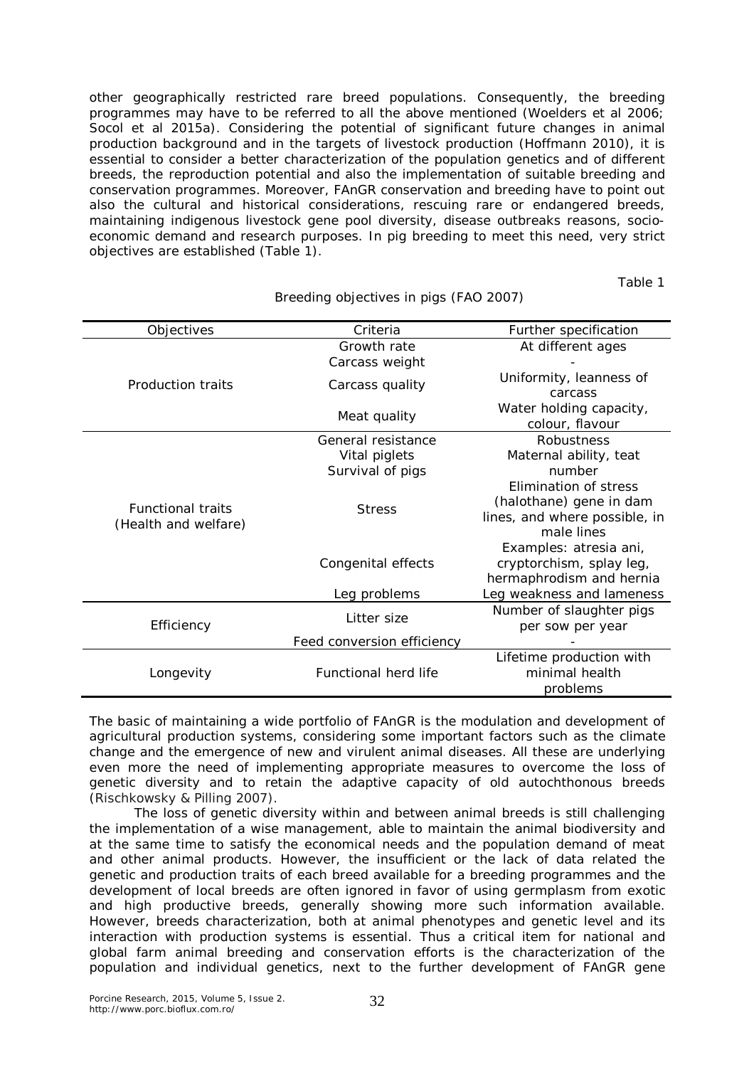other geographically restricted rare breed populations. Consequently, the breeding programmes may have to be referred to all the above mentioned (Woelders et al 2006; Socol et al 2015a). Considering the potential of significant future changes in animal production background and in the targets of livestock production (Hoffmann 2010), it is essential to consider a better characterization of the population genetics and of different breeds, the reproduction potential and also the implementation of suitable breeding and conservation programmes. Moreover, FAnGR conservation and breeding have to point out also the cultural and historical considerations, rescuing rare or endangered breeds, maintaining indigenous livestock gene pool diversity, disease outbreaks reasons, socioeconomic demand and research purposes. In pig breeding to meet this need, very strict objectives are established (Table 1).

Table 1

| <b>Objectives</b>                                | Criteria                           | Further specification                                                                                       |
|--------------------------------------------------|------------------------------------|-------------------------------------------------------------------------------------------------------------|
| Production traits                                | Growth rate<br>Carcass weight      | At different ages                                                                                           |
|                                                  | Carcass quality                    | Uniformity, leanness of<br>carcass                                                                          |
|                                                  | Meat quality                       | Water holding capacity,<br>colour, flavour                                                                  |
| <b>Functional traits</b><br>(Health and welfare) | General resistance                 | Robustness                                                                                                  |
|                                                  | Vital piglets                      | Maternal ability, teat                                                                                      |
|                                                  | Survival of pigs                   | number                                                                                                      |
|                                                  | <b>Stress</b>                      | Elimination of stress<br>(halothane) gene in dam<br>lines, and where possible, in<br>male lines             |
|                                                  | Congenital effects<br>Leg problems | Examples: atresia ani,<br>cryptorchism, splay leg,<br>hermaphrodism and hernia<br>Leg weakness and lameness |
| Efficiency                                       | Litter size                        | Number of slaughter pigs                                                                                    |
|                                                  |                                    | per sow per year                                                                                            |
|                                                  | Feed conversion efficiency         |                                                                                                             |
| Longevity                                        | <b>Functional herd life</b>        | Lifetime production with<br>minimal health<br>problems                                                      |

Breeding objectives in pigs (FAO 2007)

The basic of maintaining a wide portfolio of FAnGR is the modulation and development of agricultural production systems, considering some important factors such as the climate change and the emergence of new and virulent animal diseases. All these are underlying even more the need of implementing appropriate measures to overcome the loss of genetic diversity and to retain the adaptive capacity of old autochthonous breeds (Rischkowsky & Pilling 2007).

The loss of genetic diversity within and between animal breeds is still challenging the implementation of a wise management, able to maintain the animal biodiversity and at the same time to satisfy the economical needs and the population demand of meat and other animal products. However, the insufficient or the lack of data related the genetic and production traits of each breed available for a breeding programmes and the development of local breeds are often ignored in favor of using germplasm from exotic and high productive breeds, generally showing more such information available. However, breeds characterization, both at animal phenotypes and genetic level and its interaction with production systems is essential. Thus a critical item for national and global farm animal breeding and conservation efforts is the characterization of the population and individual genetics, next to the further development of FAnGR gene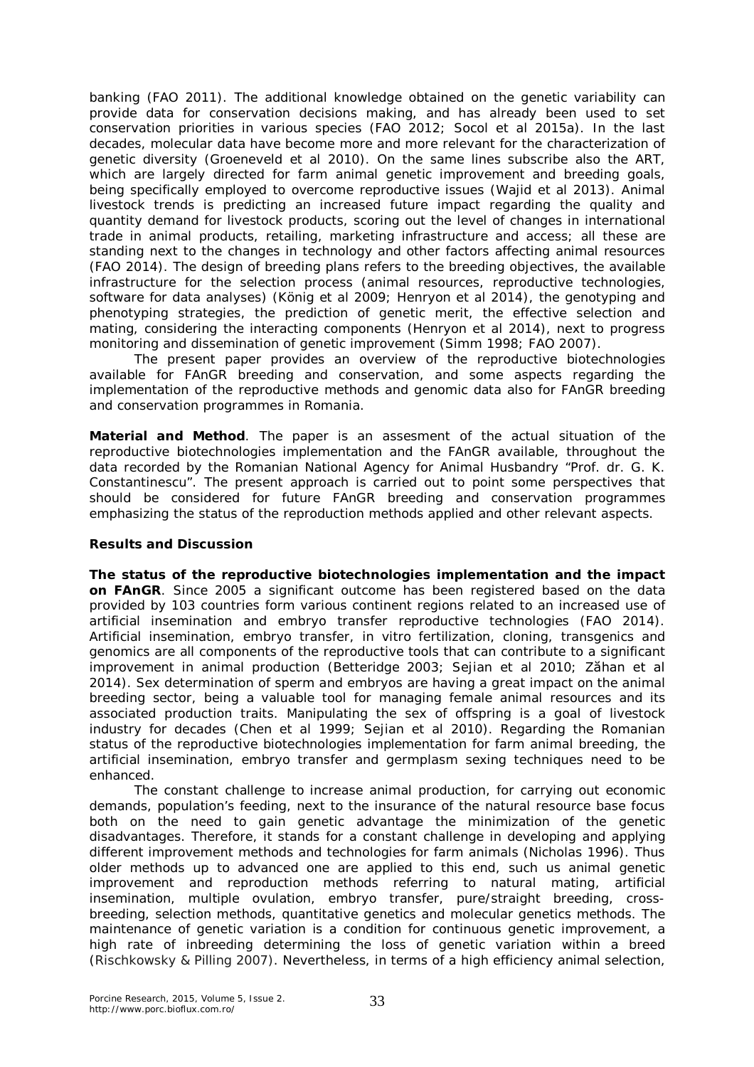banking (FAO 2011). The additional knowledge obtained on the genetic variability can provide data for conservation decisions making, and has already been used to set conservation priorities in various species (FAO 2012; Socol et al 2015a). In the last decades, molecular data have become more and more relevant for the characterization of genetic diversity (Groeneveld et al 2010). On the same lines subscribe also the ART, which are largely directed for farm animal genetic improvement and breeding goals, being specifically employed to overcome reproductive issues (Wajid et al 2013). Animal livestock trends is predicting an increased future impact regarding the quality and quantity demand for livestock products, scoring out the level of changes in international trade in animal products, retailing, marketing infrastructure and access; all these are standing next to the changes in technology and other factors affecting animal resources (FAO 2014). The design of breeding plans refers to the breeding objectives, the available infrastructure for the selection process (animal resources, reproductive technologies, software for data analyses) (König et al 2009; Henryon et al 2014), the genotyping and phenotyping strategies, the prediction of genetic merit, the effective selection and mating, considering the interacting components (Henryon et al 2014), next to progress monitoring and dissemination of genetic improvement (Simm 1998; FAO 2007).

The present paper provides an overview of the reproductive biotechnologies available for FAnGR breeding and conservation, and some aspects regarding the implementation of the reproductive methods and genomic data also for FAnGR breeding and conservation programmes in Romania.

**Material and Method**. The paper is an assesment of the actual situation of the reproductive biotechnologies implementation and the FAnGR available, throughout the data recorded by the Romanian National Agency for Animal Husbandry "Prof. dr. G. K. Constantinescu". The present approach is carried out to point some perspectives that should be considered for future FAnGR breeding and conservation programmes emphasizing the status of the reproduction methods applied and other relevant aspects.

## **Results and Discussion**

*The status of the reproductive biotechnologies implementation and the impact on FAnGR*. Since 2005 a significant outcome has been registered based on the data provided by 103 countries form various continent regions related to an increased use of artificial insemination and embryo transfer reproductive technologies (FAO 2014). Artificial insemination, embryo transfer, in vitro fertilization, cloning, transgenics and genomics are all components of the reproductive tools that can contribute to a significant improvement in animal production (Betteridge 2003; Sejian et al 2010; Zăhan et al 2014). Sex determination of sperm and embryos are having a great impact on the animal breeding sector, being a valuable tool for managing female animal resources and its associated production traits. Manipulating the sex of offspring is a goal of livestock industry for decades (Chen et al 1999; Sejian et al 2010). Regarding the Romanian status of the reproductive biotechnologies implementation for farm animal breeding, the artificial insemination, embryo transfer and germplasm sexing techniques need to be enhanced.

The constant challenge to increase animal production, for carrying out economic demands, population's feeding, next to the insurance of the natural resource base focus both on the need to gain genetic advantage the minimization of the genetic disadvantages. Therefore, it stands for a constant challenge in developing and applying different improvement methods and technologies for farm animals (Nicholas 1996). Thus older methods up to advanced one are applied to this end, such us animal genetic improvement and reproduction methods referring to natural mating, artificial insemination, multiple ovulation, embryo transfer, pure/straight breeding, crossbreeding, selection methods, quantitative genetics and molecular genetics methods. The maintenance of genetic variation is a condition for continuous genetic improvement, a high rate of inbreeding determining the loss of genetic variation within a breed (Rischkowsky & Pilling 2007). Nevertheless, in terms of a high efficiency animal selection,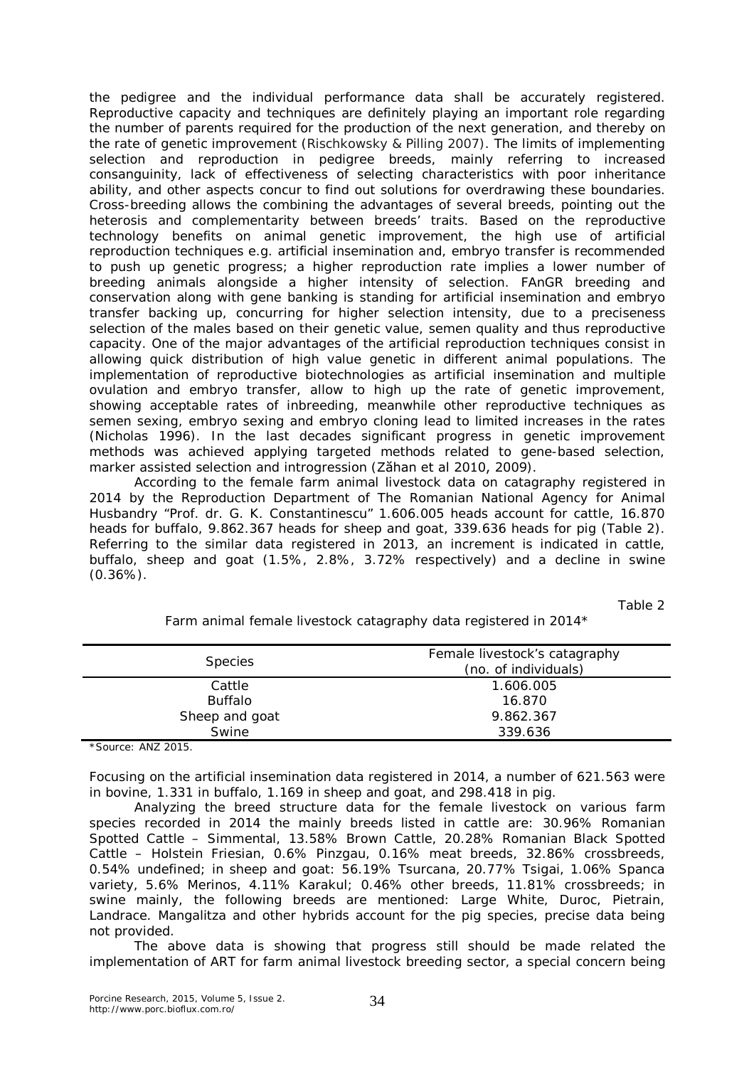the pedigree and the individual performance data shall be accurately registered. Reproductive capacity and techniques are definitely playing an important role regarding the number of parents required for the production of the next generation, and thereby on the rate of genetic improvement (Rischkowsky & Pilling 2007). The limits of implementing selection and reproduction in pedigree breeds, mainly referring to increased consanguinity, lack of effectiveness of selecting characteristics with poor inheritance ability, and other aspects concur to find out solutions for overdrawing these boundaries. Cross-breeding allows the combining the advantages of several breeds, pointing out the heterosis and complementarity between breeds' traits. Based on the reproductive technology benefits on animal genetic improvement, the high use of artificial reproduction techniques *e.g.* artificial insemination and, embryo transfer is recommended to push up genetic progress; a higher reproduction rate implies a lower number of breeding animals alongside a higher intensity of selection. FAnGR breeding and conservation along with gene banking is standing for artificial insemination and embryo transfer backing up, concurring for higher selection intensity, due to a preciseness selection of the males based on their genetic value, semen quality and thus reproductive capacity. One of the major advantages of the artificial reproduction techniques consist in allowing quick distribution of high value genetic in different animal populations. The implementation of reproductive biotechnologies as artificial insemination and multiple ovulation and embryo transfer, allow to high up the rate of genetic improvement, showing acceptable rates of inbreeding, meanwhile other reproductive techniques as semen sexing, embryo sexing and embryo cloning lead to limited increases in the rates (Nicholas 1996). In the last decades significant progress in genetic improvement methods was achieved applying targeted methods related to gene-based selection, marker assisted selection and introgression (Zăhan et al 2010, 2009).

According to the female farm animal livestock data on catagraphy registered in 2014 by the Reproduction Department of The Romanian National Agency for Animal Husbandry "Prof. dr. G. K. Constantinescu" 1.606.005 heads account for cattle, 16.870 heads for buffalo, 9.862.367 heads for sheep and goat, 339.636 heads for pig (Table 2). Referring to the similar data registered in 2013, an increment is indicated in cattle, buffalo, sheep and goat (1.5%, 2.8%, 3.72% respectively) and a decline in swine  $(0.36\%)$ .

Table 2

| <b>Species</b> | Female livestock's catagraphy<br>(no. of individuals) |
|----------------|-------------------------------------------------------|
| Cattle         | 1.606.005                                             |
| <b>Buffalo</b> | 16.870                                                |
| Sheep and goat | 9.862.367                                             |
| Swine          | 339.636                                               |

Farm animal female livestock catagraphy data registered in 2014\*

\*Source: ANZ 2015.

Focusing on the artificial insemination data registered in 2014, a number of 621.563 were in bovine, 1.331 in buffalo, 1.169 in sheep and goat, and 298.418 in pig.

Analyzing the breed structure data for the female livestock on various farm species recorded in 2014 the mainly breeds listed in cattle are: 30.96% Romanian Spotted Cattle – Simmental, 13.58% Brown Cattle, 20.28% Romanian Black Spotted Cattle – Holstein Friesian, 0.6% Pinzgau, 0.16% meat breeds, 32.86% crossbreeds, 0.54% undefined; in sheep and goat: 56.19% Tsurcana, 20.77% Tsigai, 1.06% Spanca variety, 5.6% Merinos, 4.11% Karakul; 0.46% other breeds, 11.81% crossbreeds; in swine mainly, the following breeds are mentioned: Large White, Duroc, Pietrain, Landrace. Mangalitza and other hybrids account for the pig species, precise data being not provided.

The above data is showing that progress still should be made related the implementation of ART for farm animal livestock breeding sector, a special concern being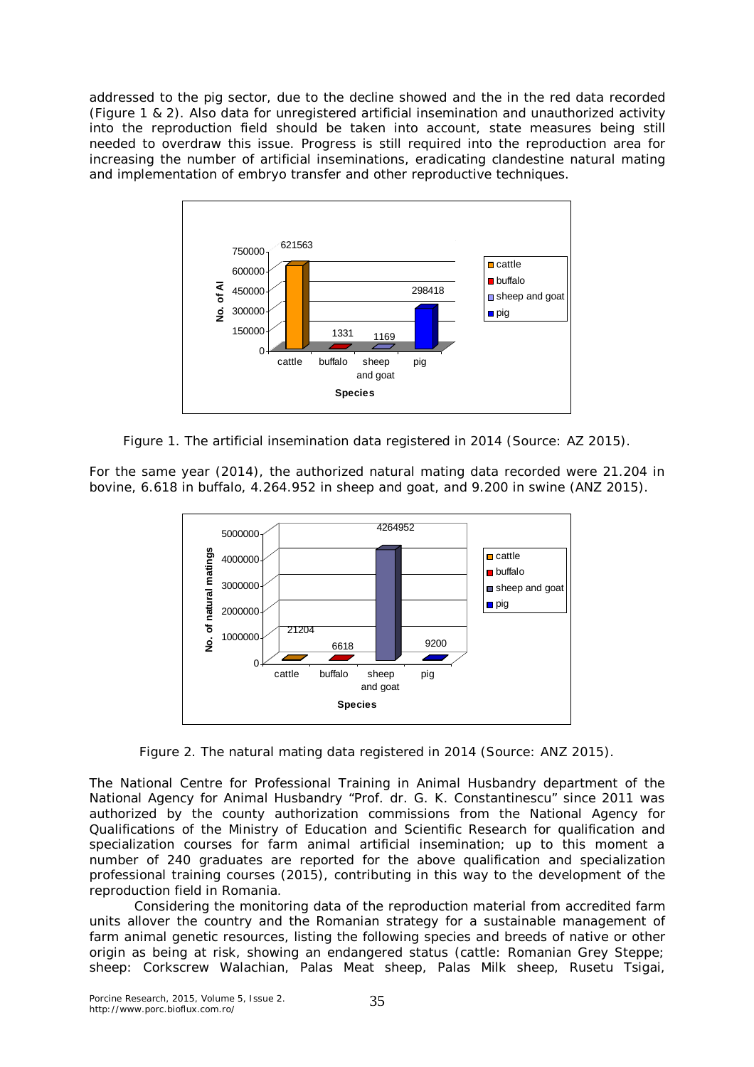addressed to the pig sector, due to the decline showed and the in the red data recorded (Figure 1 & 2). Also data for unregistered artificial insemination and unauthorized activity into the reproduction field should be taken into account, state measures being still needed to overdraw this issue. Progress is still required into the reproduction area for increasing the number of artificial inseminations, eradicating clandestine natural mating and implementation of embryo transfer and other reproductive techniques.



Figure 1. The artificial insemination data registered in 2014 (Source: AZ 2015).

For the same year (2014), the authorized natural mating data recorded were 21.204 in bovine, 6.618 in buffalo, 4.264.952 in sheep and goat, and 9.200 in swine (ANZ 2015).



Figure 2. The natural mating data registered in 2014 (Source: ANZ 2015).

The National Centre for Professional Training in Animal Husbandry department of the National Agency for Animal Husbandry "Prof. dr. G. K. Constantinescu" since 2011 was authorized by the county authorization commissions from the National Agency for Qualifications of the Ministry of Education and Scientific Research for qualification and specialization courses for farm animal artificial insemination; up to this moment a number of 240 graduates are reported for the above qualification and specialization professional training courses (2015), contributing in this way to the development of the reproduction field in Romania.

Considering the monitoring data of the reproduction material from accredited farm units allover the country and the Romanian strategy for a sustainable management of farm animal genetic resources, listing the following species and breeds of native or other origin as being at risk, showing an endangered status (cattle: Romanian Grey Steppe; sheep: Corkscrew Walachian, Palas Meat sheep, Palas Milk sheep, Rusetu Tsigai,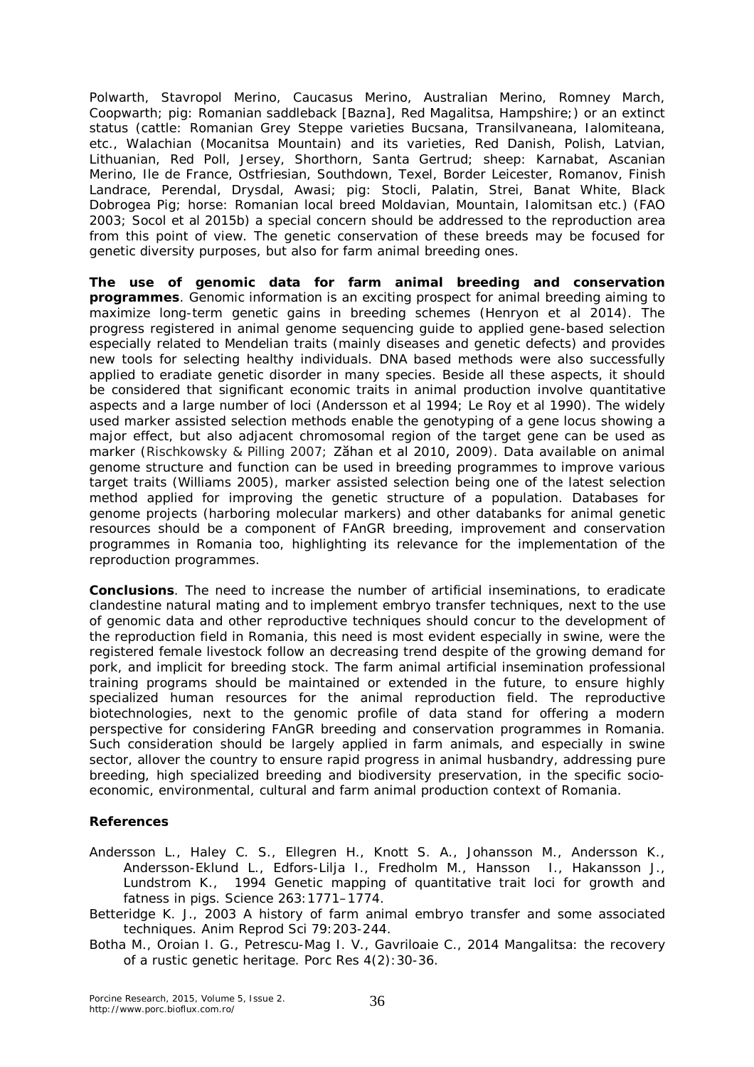Polwarth, Stavropol Merino, Caucasus Merino, Australian Merino, Romney March, Coopwarth; pig: Romanian saddleback [Bazna], Red Magalitsa, Hampshire;) or an extinct status (cattle: Romanian Grey Steppe varieties Bucsana, Transilvaneana, Ialomiteana, etc., Walachian (Mocanitsa Mountain) and its varieties, Red Danish, Polish, Latvian, Lithuanian, Red Poll, Jersey, Shorthorn, Santa Gertrud; sheep: Karnabat, Ascanian Merino, Ile de France, Ostfriesian, Southdown, Texel, Border Leicester, Romanov, Finish Landrace, Perendal, Drysdal, Awasi; pig: Stocli, Palatin, Strei, Banat White, Black Dobrogea Pig; horse: Romanian local breed Moldavian, Mountain, Ialomitsan etc.) (FAO 2003; Socol et al 2015b) a special concern should be addressed to the reproduction area from this point of view. The genetic conservation of these breeds may be focused for genetic diversity purposes, but also for farm animal breeding ones.

*The use of genomic data for farm animal breeding and conservation programmes*. Genomic information is an exciting prospect for animal breeding aiming to maximize long-term genetic gains in breeding schemes (Henryon et al 2014). The progress registered in animal genome sequencing guide to applied gene-based selection especially related to Mendelian traits (mainly diseases and genetic defects) and provides new tools for selecting healthy individuals. DNA based methods were also successfully applied to eradiate genetic disorder in many species. Beside all these aspects, it should be considered that significant economic traits in animal production involve quantitative aspects and a large number of loci (Andersson et al 1994; Le Roy et al 1990). The widely used marker assisted selection methods enable the genotyping of a gene locus showing a major effect, but also adjacent chromosomal region of the target gene can be used as marker (Rischkowsky & Pilling 2007; Zăhan et al 2010, 2009). Data available on animal genome structure and function can be used in breeding programmes to improve various target traits (Williams 2005), marker assisted selection being one of the latest selection method applied for improving the genetic structure of a population. Databases for genome projects (harboring molecular markers) and other databanks for animal genetic resources should be a component of FAnGR breeding, improvement and conservation programmes in Romania too, highlighting its relevance for the implementation of the reproduction programmes.

**Conclusions**. The need to increase the number of artificial inseminations, to eradicate clandestine natural mating and to implement embryo transfer techniques, next to the use of genomic data and other reproductive techniques should concur to the development of the reproduction field in Romania, this need is most evident especially in swine, were the registered female livestock follow an decreasing trend despite of the growing demand for pork, and implicit for breeding stock. The farm animal artificial insemination professional training programs should be maintained or extended in the future, to ensure highly specialized human resources for the animal reproduction field. The reproductive biotechnologies, next to the genomic profile of data stand for offering a modern perspective for considering FAnGR breeding and conservation programmes in Romania. Such consideration should be largely applied in farm animals, and especially in swine sector, allover the country to ensure rapid progress in animal husbandry, addressing pure breeding, high specialized breeding and biodiversity preservation, in the specific socioeconomic, environmental, cultural and farm animal production context of Romania.

## **References**

- Andersson L., Haley C. S., Ellegren H., Knott S. A., Johansson M., Andersson K., Andersson-Eklund L., Edfors-Lilja I., Fredholm M., Hansson I., Hakansson J., Lundstrom K., 1994 Genetic mapping of quantitative trait loci for growth and fatness in pigs. Science 263:1771–1774.
- Betteridge K. J., 2003 A history of farm animal embryo transfer and some associated techniques. Anim Reprod Sci 79:203-244.
- Botha M., Oroian I. G., Petrescu-Mag I. V., Gavriloaie C., 2014 Mangalitsa: the recovery of a rustic genetic heritage. Porc Res 4(2):30-36.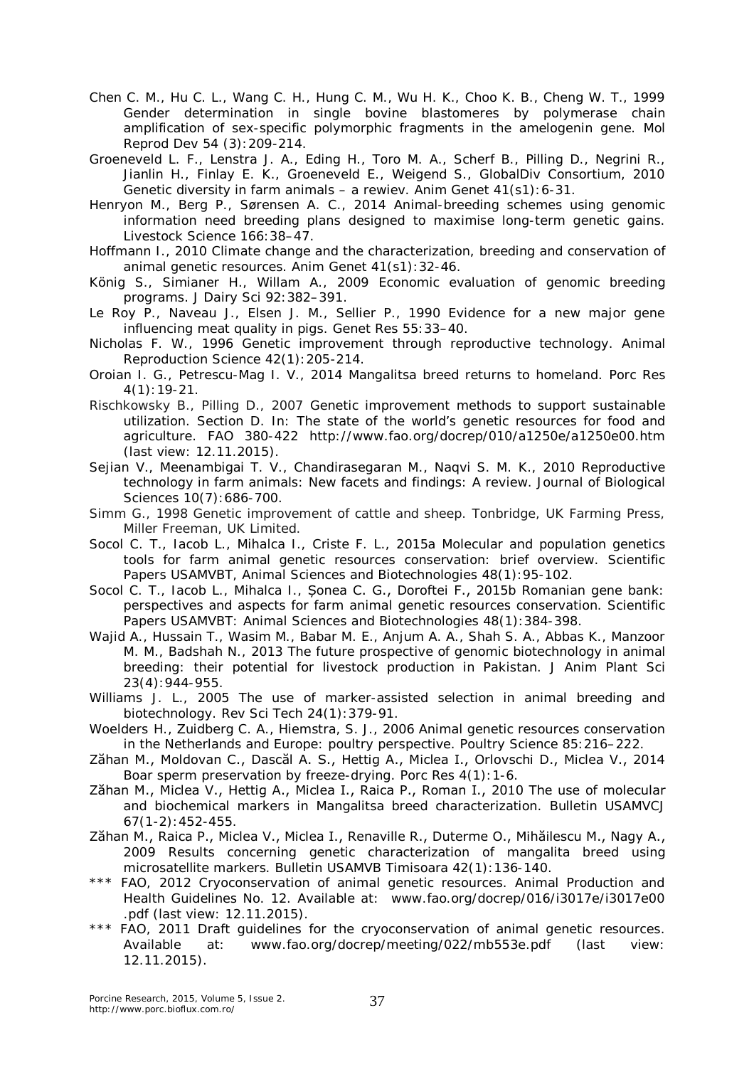Chen C. M., Hu C. L., Wang C. H., Hung C. M., Wu H. K., Choo K. B., Cheng W. T., 1999 Gender determination in single bovine blastomeres by polymerase chain amplification of sex-specific polymorphic fragments in the amelogenin gene. Mol Reprod Dev 54 (3):209-214.

Groeneveld L. F., Lenstra J. A., Eding H., Toro M. A., Scherf B., Pilling D., Negrini R., Jianlin H., Finlay E. K., Groeneveld E., Weigend S., GlobalDiv Consortium, 2010 Genetic diversity in farm animals – a rewiev. Anim Genet 41(s1):6-31.

- Henryon M., Berg P., Sørensen A. C., 2014 Animal-breeding schemes using genomic information need breeding plans designed to maximise long-term genetic gains. Livestock Science 166:38–47.
- Hoffmann I., 2010 Climate change and the characterization, breeding and conservation of animal genetic resources. Anim Genet 41(s1):32-46.
- König S., Simianer H., Willam A., 2009 Economic evaluation of genomic breeding programs. J Dairy Sci 92:382–391.
- Le Roy P., Naveau J., Elsen J. M., Sellier P., 1990 Evidence for a new major gene influencing meat quality in pigs. Genet Res 55:33–40.
- Nicholas F. W., 1996 Genetic improvement through reproductive technology. Animal Reproduction Science 42(1):205-214.

Oroian I. G., Petrescu-Mag I. V., 2014 Mangalitsa breed returns to homeland. Porc Res 4(1):19-21.

- Rischkowsky B., Pilling D., 2007 Genetic improvement methods to support sustainable utilization. Section D. In: The state of the world's genetic resources for food and agriculture. FAO 380-422 http://www.fao.org/docrep/010/a1250e/a1250e00.htm (last view: 12.11.2015).
- Sejian V., Meenambigai T. V., Chandirasegaran M., Naqvi S. M. K., 2010 Reproductive technology in farm animals: New facets and findings: A review. Journal of Biological Sciences 10(7):686-700.
- Simm G., 1998 Genetic improvement of cattle and sheep. Tonbridge, UK Farming Press, Miller Freeman, UK Limited.
- Socol C. T., Iacob L., Mihalca I., Criste F. L., 2015a Molecular and population genetics tools for farm animal genetic resources conservation: brief overview. Scientific Papers USAMVBT, Animal Sciences and Biotechnologies 48(1):95-102.
- Socol C. T., Iacob L., Mihalca I., Șonea C. G., Doroftei F., 2015b Romanian gene bank: perspectives and aspects for farm animal genetic resources conservation. Scientific Papers USAMVBT: Animal Sciences and Biotechnologies 48(1):384-398.
- Wajid A., Hussain T., Wasim M., Babar M. E., Anjum A. A., Shah S. A., Abbas K., Manzoor M. M., Badshah N., 2013 The future prospective of genomic biotechnology in animal breeding: their potential for livestock production in Pakistan. J Anim Plant Sci 23(4):944-955.
- Williams J. L., 2005 The use of marker-assisted selection in animal breeding and biotechnology. Rev Sci Tech 24(1):379-91.
- Woelders H., Zuidberg C. A., Hiemstra, S. J., 2006 Animal genetic resources conservation in the Netherlands and Europe: poultry perspective. Poultry Science 85:216–222.
- Zăhan M., Moldovan C., Dascăl A. S., Hettig A., Miclea I., Orlovschi D., Miclea V., 2014 Boar sperm preservation by freeze-drying. Porc Res 4(1):1-6.
- Zăhan M., Miclea V., Hettig A., Miclea I., Raica P., Roman I., 2010 The use of molecular and biochemical markers in Mangalitsa breed characterization. Bulletin USAMVCJ 67(1-2):452-455.
- Zăhan M., Raica P., Miclea V., Miclea I., Renaville R., Duterme O., Mihăilescu M., Nagy A., 2009 Results concerning genetic characterization of mangalita breed using microsatellite markers. Bulletin USAMVB Timisoara 42(1):136-140.
- \*\*\* FAO, 2012 Cryoconservation of animal genetic resources. Animal Production and Health Guidelines No. 12. Available at: www.fao.org/docrep/016/i3017e/i3017e00 .pdf (last view: 12.11.2015).
- \*\*\* FAO, 2011 Draft guidelines for the cryoconservation of animal genetic resources. Available at: www.fao.org/docrep/meeting/022/mb553e.pdf (last view: 12.11.2015).